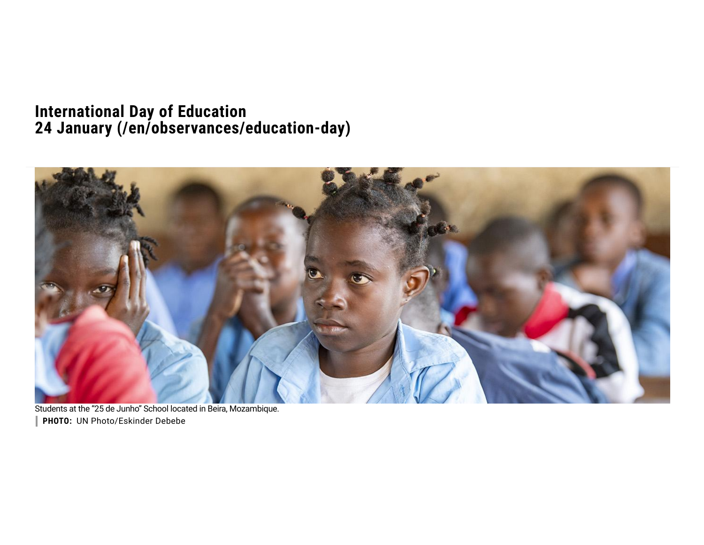### **[International](https://www.un.org/en) Day of Education 24 January [\(/en/observances/education-day\)](https://www.un.org/en/observances/education-day)**



Students at the "25 de Junho" School located in Beira, Mozambique. **PHOTO:** UN Photo/Eskinder Debebe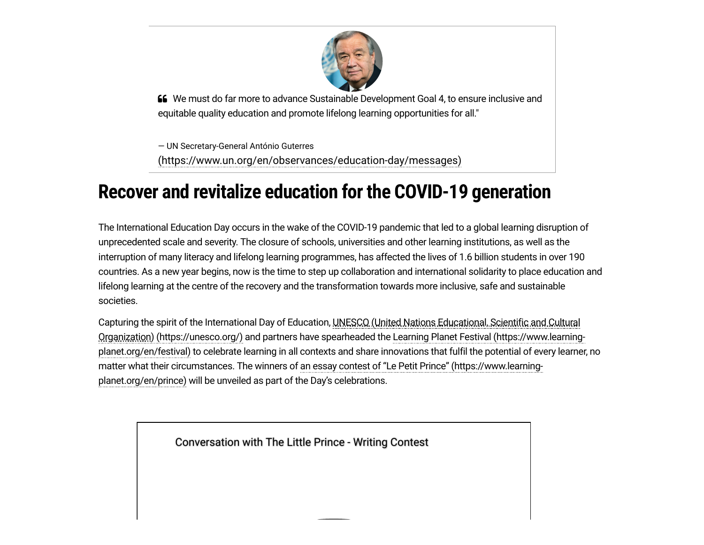

 We must do far more to advance Sustainable Development Goal 4, to ensure inclusive and equitable quality education and promote lifelong learning opportunities for all."

— UN Secretary-General António Guterres [\(https://www.un.org/en/observances/education-day/messages\)](https://www.un.org/en/observances/education-day/messages)

# **Recover and revitalize education for the COVID-19 generation**

The International Education Day occurs in the wake of the COVID-19 pandemic that led to a global learning disruption of unprecedented scale and severity. The closure of schools, universities and other learning institutions, as well as the interruption of many literacy and lifelong learning programmes, has affected the lives of 1.6 billion students in over 190 countries. As a new year begins, now is the time to step up collaboration and international solidarity to place education and lifelong learning at the centre of the recovery and the transformation towards more inclusive, safe and sustainable societies.

Capturing the spirit of the International Day of Education, UNESCO (United Nations Educational, Scientific and Cultural Organization) (https://unesco.org/) and partners have spearheaded the Learning Planet Festival [\(https://www.learning](https://unesco.org/)[planet.org/en/festival\)](https://www.learning-planet.org/en/festival) to celebrate learning in all contexts and share innovations that fulfil the potential of every learner, no matter what their circumstances. The winners of an essay contest of "Le Petit Prince" [\(https://www.learning](https://www.learning-planet.org/en/prince)planet.org/en/prince) will be unveiled as part of the Day's celebrations.

[Conversation with The Little Prince - Writing Contest](https://www.youtube.com/watch?v=lUzpqYrcacY)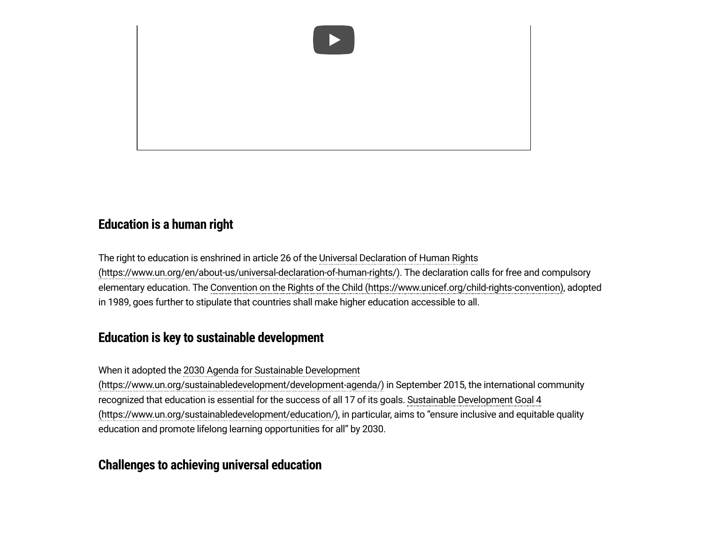

#### **Education is a human right**

The right to education is enshrined in article 26 of the Universal Declaration of Human Rights [\(https://www.un.org/en/about-us/universal-declaration-of-human-rights/\).](https://www.un.org/en/about-us/universal-declaration-of-human-rights/) The declaration calls for free and compulsory elementary education. The Convention on the Rights of the Child [\(https://www.unicef.org/child-rights-convention\),](https://www.unicef.org/child-rights-convention) adopted in 1989, goes further to stipulate that countries shall make higher education accessible to all.

#### **Education is key to sustainable development**

When it adopted the 2030 Agenda for Sustainable Development

[\(https://www.un.org/sustainabledevelopment/development-agenda/\)](https://www.un.org/sustainabledevelopment/development-agenda/) in September 2015, the international community recognized that education is essential for the success of all 17 of its goals. Sustainable Development Goal 4 [\(https://www.un.org/sustainabledevelopment/education/\),](https://www.un.org/sustainabledevelopment/education/) in particular, aims to "ensure inclusive and equitable quality education and promote lifelong learning opportunities for all" by 2030.

#### **Challenges to achieving universal education**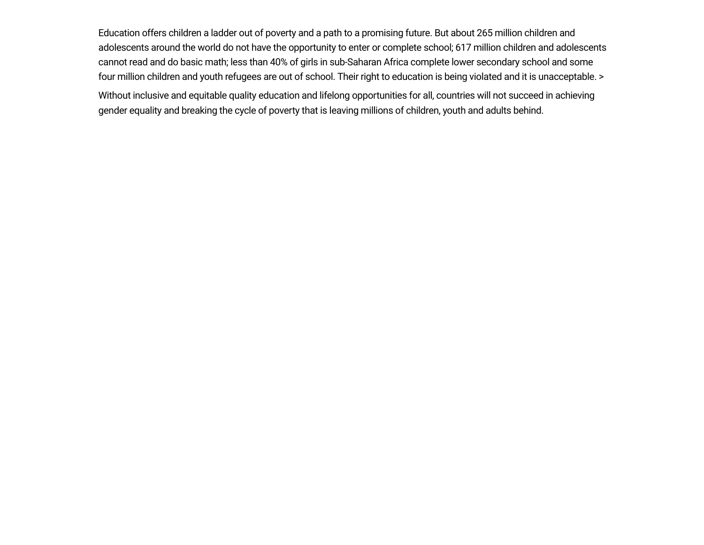Education offers children a ladder out of poverty and a path to a promising future. But about 265 million children and adolescents around the world do not have the opportunity to enter or complete school; 617 million children and adolescents cannot read and do basic math; less than 40% of girls in sub-Saharan Africa complete lower secondary school and some four million children and youth refugees are out of school. Their right to education is being violated and it is unacceptable. > Without inclusive and equitable quality education and lifelong opportunities for all, countries will not succeed in achieving gender equality and breaking the cycle of poverty that is leaving millions of children, youth and adults behind.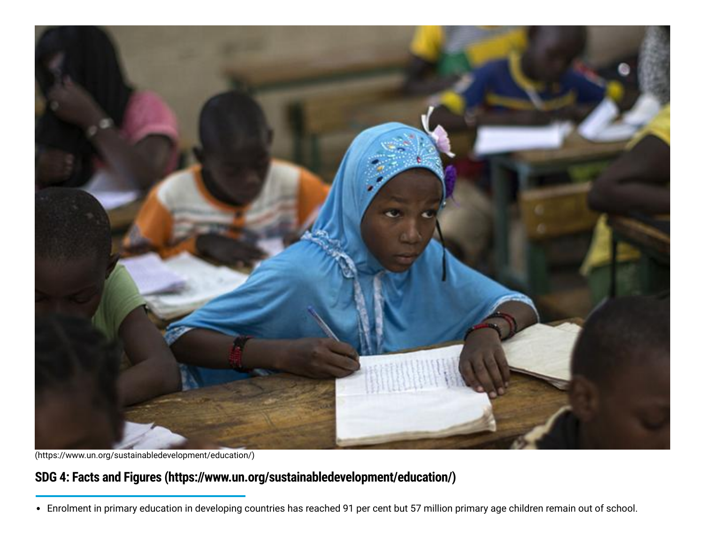

[\(https://www.un.org/sustainabledevelopment/education/\)](https://www.un.org/sustainabledevelopment/education/)

## **SDG 4: Facts and Figures [\(https://www.un.org/sustainabledevelopment/education/\)](https://www.un.org/sustainabledevelopment/education/)**

Enrolment in primary education in developing countries has reached 91 per cent but 57 million primary age children remain out of school.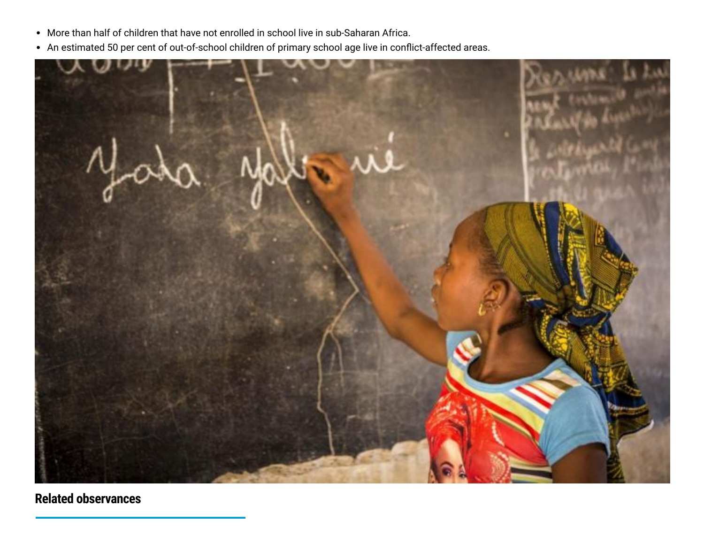- More than half of children that have not enrolled in school live in sub-Saharan Africa.
- An estimated 50 per cent of out-of-school children of primary school age live in conflict-affected areas.



**Related observances**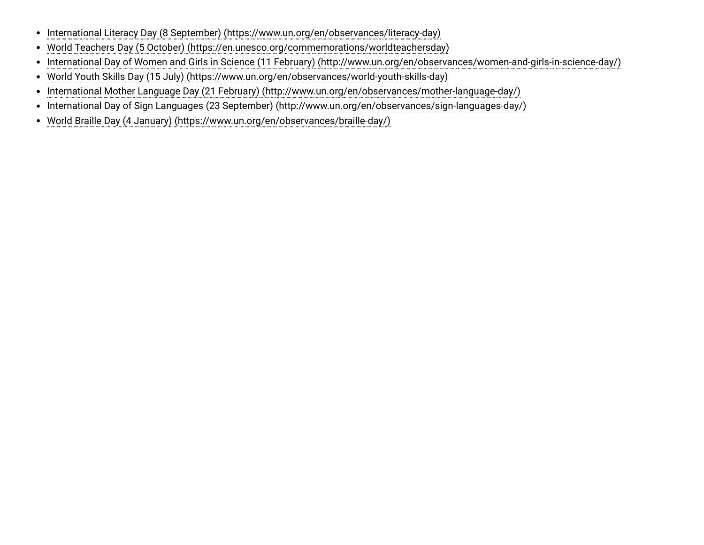- [International Literacy Day \(8 September\) \(https://www.un.org/en/observances/literacy-day\)](https://www.un.org/en/observances/literacy-day)
- [World Teachers Day \(5 October\) \(https://en.unesco.org/commemorations/worldteachersday\)](https://en.unesco.org/commemorations/worldteachersday)
- [International Day of Women and Girls in Science \(11 February\) \(http://www.un.org/en/observances/women-and-girls-in-science-day/\)](http://www.un.org/en/observances/women-and-girls-in-science-day/)
- [World Youth Skills Day \(15 July\) \(https://www.un.org/en/observances/world-youth-skills-day\)](https://www.un.org/en/observances/world-youth-skills-day)
- [International Mother Language Day \(21 February\) \(http://www.un.org/en/observances/mother-language-day/\)](http://www.un.org/en/observances/mother-language-day/)
- [International Day of Sign Languages \(23 September\) \(http://www.un.org/en/observances/sign-languages-day/\)](http://www.un.org/en/observances/sign-languages-day/)
- [World Braille Day \(4 January\) \(https://www.un.org/en/observances/braille-day/\)](https://www.un.org/en/observances/braille-day/)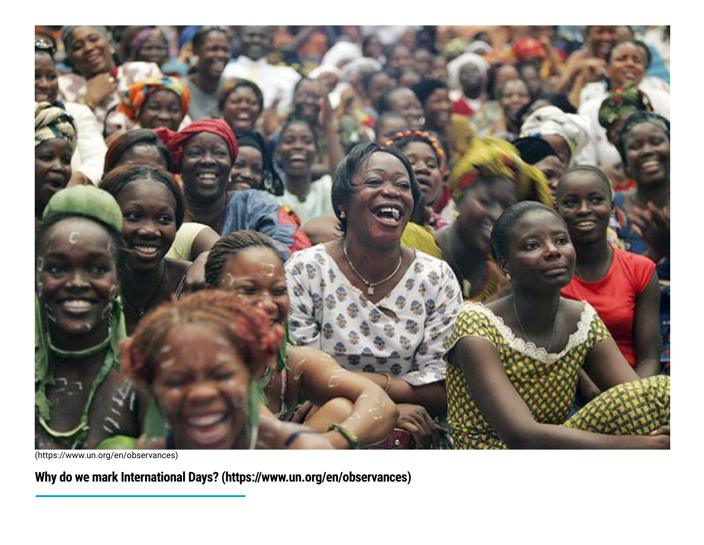

[\(https://www.un.org/en/observances\)](https://www.un.org/en/observances)

**Why do we mark International Days? [\(https://www.un.org/en/observances\)](https://www.un.org/en/observances)**